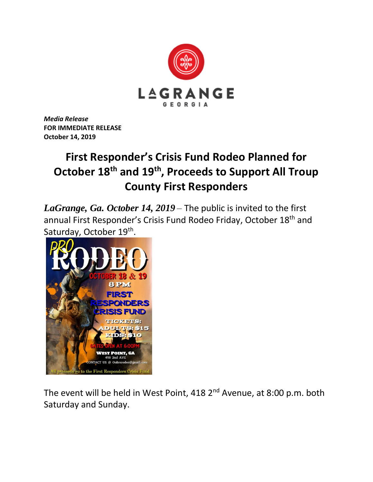

*Media Release* **FOR IMMEDIATE RELEASE October 14, 2019**

## **First Responder's Crisis Fund Rodeo Planned for October 18th and 19th, Proceeds to Support All Troup County First Responders**

*LaGrange, Ga. October 14, 2019* – The public is invited to the first annual First Responder's Crisis Fund Rodeo Friday, October 18<sup>th</sup> and Saturday, October 19<sup>th</sup>.



The event will be held in West Point, 418 2<sup>nd</sup> Avenue, at 8:00 p.m. both Saturday and Sunday.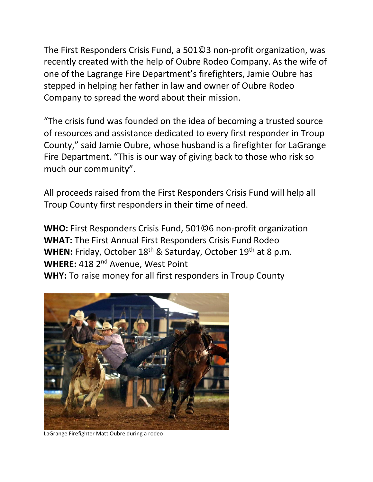The First Responders Crisis Fund, a 501©3 non-profit organization, was recently created with the help of Oubre Rodeo Company. As the wife of one of the Lagrange Fire Department's firefighters, Jamie Oubre has stepped in helping her father in law and owner of Oubre Rodeo Company to spread the word about their mission.

"The crisis fund was founded on the idea of becoming a trusted source of resources and assistance dedicated to every first responder in Troup County," said Jamie Oubre, whose husband is a firefighter for LaGrange Fire Department. "This is our way of giving back to those who risk so much our community".

All proceeds raised from the First Responders Crisis Fund will help all Troup County first responders in their time of need.

**WHO:** First Responders Crisis Fund, 501©6 non-profit organization **WHAT:** The First Annual First Responders Crisis Fund Rodeo WHEN: Friday, October 18<sup>th</sup> & Saturday, October 19<sup>th</sup> at 8 p.m. WHERE: 418 2<sup>nd</sup> Avenue, West Point **WHY:** To raise money for all first responders in Troup County



LaGrange Firefighter Matt Oubre during a rodeo